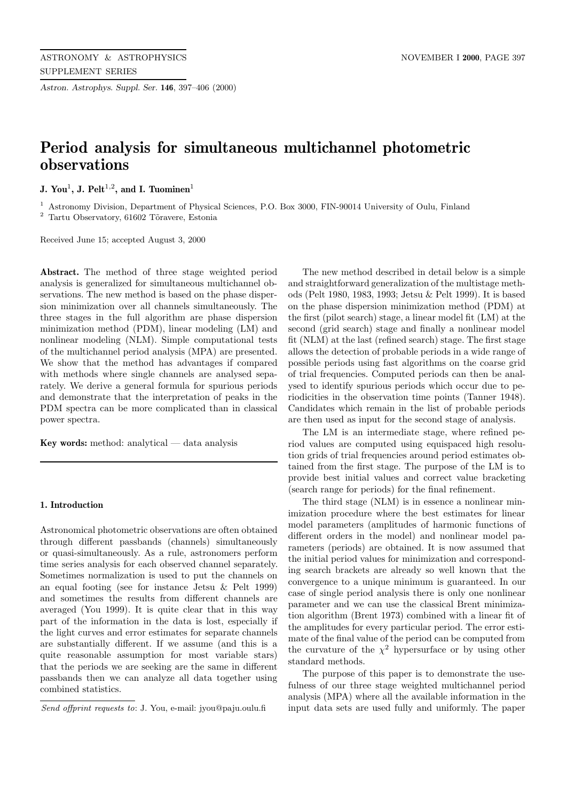*Astron. Astrophys. Suppl. Ser.* **146**, 397–406 (2000)

# **Period analysis for simultaneous multichannel photometric observations**

**J. You<sup>1</sup>**, **J. Pelt**<sup>1,2</sup>, and **I. Tuominen**<sup>1</sup>

<sup>1</sup> Astronomy Division, Department of Physical Sciences, P.O. Box 3000, FIN-90014 University of Oulu, Finland  $^2$  Tartu Observatory,  $61602$  Tõravere, Estonia

Received June 15; accepted August 3, 2000

**Abstract.** The method of three stage weighted period analysis is generalized for simultaneous multichannel observations. The new method is based on the phase dispersion minimization over all channels simultaneously. The three stages in the full algorithm are phase dispersion minimization method (PDM), linear modeling (LM) and nonlinear modeling (NLM). Simple computational tests of the multichannel period analysis (MPA) are presented. We show that the method has advantages if compared with methods where single channels are analysed separately. We derive a general formula for spurious periods and demonstrate that the interpretation of peaks in the PDM spectra can be more complicated than in classical power spectra.

**Key words:** method: analytical — data analysis

# **1. Introduction**

Astronomical photometric observations are often obtained through different passbands (channels) simultaneously or quasi-simultaneously. As a rule, astronomers perform time series analysis for each observed channel separately. Sometimes normalization is used to put the channels on an equal footing (see for instance Jetsu & Pelt 1999) and sometimes the results from different channels are averaged (You 1999). It is quite clear that in this way part of the information in the data is lost, especially if the light curves and error estimates for separate channels are substantially different. If we assume (and this is a quite reasonable assumption for most variable stars) that the periods we are seeking are the same in different passbands then we can analyze all data together using combined statistics.

The new method described in detail below is a simple and straightforward generalization of the multistage methods (Pelt 1980, 1983, 1993; Jetsu & Pelt 1999). It is based on the phase dispersion minimization method (PDM) at the first (pilot search) stage, a linear model fit (LM) at the second (grid search) stage and finally a nonlinear model fit (NLM) at the last (refined search) stage. The first stage allows the detection of probable periods in a wide range of possible periods using fast algorithms on the coarse grid of trial frequencies. Computed periods can then be analysed to identify spurious periods which occur due to periodicities in the observation time points (Tanner 1948). Candidates which remain in the list of probable periods are then used as input for the second stage of analysis.

The LM is an intermediate stage, where refined period values are computed using equispaced high resolution grids of trial frequencies around period estimates obtained from the first stage. The purpose of the LM is to provide best initial values and correct value bracketing (search range for periods) for the final refinement.

The third stage (NLM) is in essence a nonlinear minimization procedure where the best estimates for linear model parameters (amplitudes of harmonic functions of different orders in the model) and nonlinear model parameters (periods) are obtained. It is now assumed that the initial period values for minimization and corresponding search brackets are already so well known that the convergence to a unique minimum is guaranteed. In our case of single period analysis there is only one nonlinear parameter and we can use the classical Brent minimization algorithm (Brent 1973) combined with a linear fit of the amplitudes for every particular period. The error estimate of the final value of the period can be computed from the curvature of the  $\chi^2$  hypersurface or by using other standard methods.

The purpose of this paper is to demonstrate the usefulness of our three stage weighted multichannel period analysis (MPA) where all the available information in the input data sets are used fully and uniformly. The paper

Send offprint requests to: J. You, e-mail: jyou@paju.oulu.fi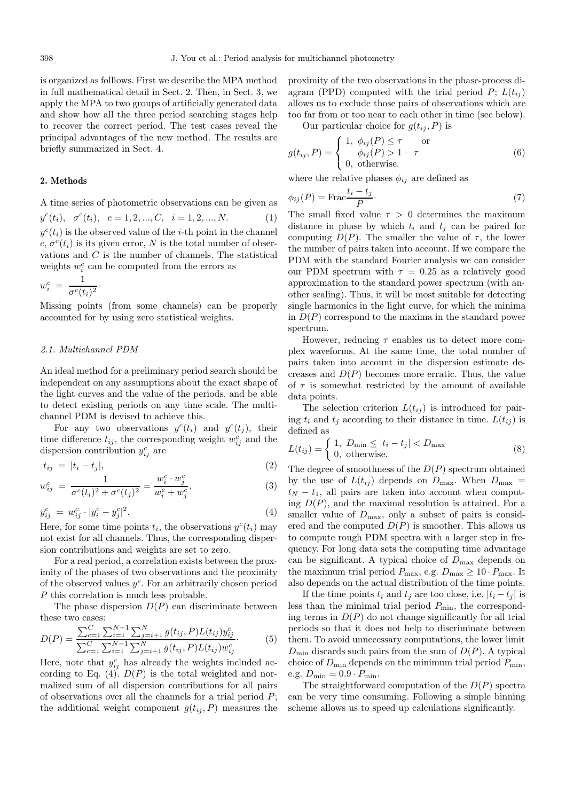is organized as folllows. First we describe the MPA method in full mathematical detail in Sect. 2. Then, in Sect. 3, we apply the MPA to two groups of artificially generated data and show how all the three period searching stages help to recover the correct period. The test cases reveal the principal advantages of the new method. The results are briefly summarized in Sect. 4.

### **2. Methods**

A time series of photometric observations can be given as  $y^{c}(t_{i}), \sigma^{c}(t_{i}), \quad c=1,2,...,C, \quad i=1,2,...,N.$  (1)  $y^{c}(t_i)$  is the observed value of the *i*-th point in the channel c,  $\sigma^{c}(t_i)$  is its given error, N is the total number of observations and C is the number of channels. The statistical weights  $w_i^c$  can be computed from the errors as

$$
w_i^c = \frac{1}{\sigma^c(t_i)^2}.
$$

Missing points (from some channels) can be properly accounted for by using zero statistical weights.

# 2.1. Multichannel PDM

An ideal method for a preliminary period search should be independent on any assumptions about the exact shape of the light curves and the value of the periods, and be able to detect existing periods on any time scale. The multichannel PDM is devised to achieve this.

For any two observations  $y^{c}(t_i)$  and  $y^{c}(t_j)$ , their time difference  $t_{ij}$ , the corresponding weight  $w_{ij}^c$  and the dispersion contribution  $y_{ij}^c$  are

$$
t_{ij} = |t_i - t_j|,\tag{2}
$$

$$
w_{ij}^c = \frac{1}{\sigma^c(t_i)^2 + \sigma^c(t_j)^2} = \frac{w_i^c \cdot w_j^c}{w_i^c + w_j^c},
$$
\n(3)

$$
y_{ij}^c = w_{ij}^c \cdot |y_i^c - y_j^c|^2. \tag{4}
$$

Here, for some time points  $t_i$ , the observations  $y^c(t_i)$  may not exist for all channels. Thus, the corresponding dispersion contributions and weights are set to zero.

For a real period, a correlation exists between the proximity of the phases of two observations and the proximity of the observed values  $y^c$ . For an arbitrarily chosen period P this correlation is much less probable.

The phase dispersion  $D(P)$  can discriminate between these two cases:

$$
D(P) = \frac{\sum_{c=1}^{C} \sum_{i=1}^{N-1} \sum_{j=i+1}^{N} g(t_{ij}, P) L(t_{ij}) y_{ij}^{c}}{\sum_{c=1}^{C} \sum_{i=1}^{N-1} \sum_{j=i+1}^{N} g(t_{ij}, P) L(t_{ij}) w_{ij}^{c}}.
$$
 (5)

Here, note that  $y_{ij}^c$  has already the weights included according to Eq. (4).  $D(P)$  is the total weighted and normalized sum of all dispersion contributions for all pairs of observations over all the channels for a trial period  $P$ ; the additional weight component  $g(t_{ij}, P)$  measures the

proximity of the two observations in the phase-process diagram (PPD) computed with the trial period  $P$ ;  $L(t_{ij})$ allows us to exclude those pairs of observations which are too far from or too near to each other in time (see below).

Our particular choice for  $g(t_{ij}, P)$  is

$$
g(t_{ij}, P) = \begin{cases} 1, & \phi_{ij}(P) \le \tau & \text{or} \\ & \phi_{ij}(P) > 1 - \tau \\ 0, & \text{otherwise.} \end{cases}
$$
(6)

where the relative phases  $\phi_{ij}$  are defined as

$$
\phi_{ij}(P) = \text{Frac}\frac{t_i - t_j}{P}.\tag{7}
$$

The small fixed value  $\tau > 0$  determines the maximum distance in phase by which  $t_i$  and  $t_j$  can be paired for computing  $D(P)$ . The smaller the value of  $\tau$ , the lower the number of pairs taken into account. If we compare the PDM with the standard Fourier analysis we can consider our PDM spectrum with  $\tau = 0.25$  as a relatively good approximation to the standard power spectrum (with another scaling). Thus, it will be most suitable for detecting single harmonics in the light curve, for which the minima in  $D(P)$  correspond to the maxima in the standard power spectrum.

However, reducing  $\tau$  enables us to detect more complex waveforms. At the same time, the total number of pairs taken into account in the dispersion estimate decreases and  $D(P)$  becomes more erratic. Thus, the value of  $\tau$  is somewhat restricted by the amount of available data points.

The selection criterion  $L(t_{ij})$  is introduced for pairing  $t_i$  and  $t_j$  according to their distance in time.  $L(t_{ij})$  is defined as

$$
L(t_{ij}) = \begin{cases} 1, & D_{\min} \le |t_i - t_j| < D_{\max} \\ 0, & \text{otherwise.} \end{cases} \tag{8}
$$

The degree of smoothness of the  $D(P)$  spectrum obtained by the use of  $L(t_{ij})$  depends on  $D_{\text{max}}$ . When  $D_{\text{max}}$  =  $t_N - t_1$ , all pairs are taken into account when computing  $D(P)$ , and the maximal resolution is attained. For a smaller value of  $D_{\text{max}}$ , only a subset of pairs is considered and the computed  $D(P)$  is smoother. This allows us to compute rough PDM spectra with a larger step in frequency. For long data sets the computing time advantage can be significant. A typical choice of  $D_{\text{max}}$  depends on the maximum trial period  $P_{\text{max}}$ , e.g.  $D_{\text{max}} \ge 10 \cdot P_{\text{max}}$ . It also depends on the actual distribution of the time points.

If the time points  $t_i$  and  $t_j$  are too close, i.e.  $|t_i - t_j|$  is less than the minimal trial period  $P_{\text{min}}$ , the corresponding terms in  $D(P)$  do not change significantly for all trial periods so that it does not help to discriminate between them. To avoid unnecessary computations, the lower limit  $D_{\min}$  discards such pairs from the sum of  $D(P)$ . A typical choice of  $D_{\min}$  depends on the minimum trial period  $P_{\min}$ , e.g.  $D_{\min} = 0.9 \cdot P_{\min}$ .

The straightforward computation of the  $D(P)$  spectra can be very time consuming. Following a simple binning scheme allows us to speed up calculations significantly.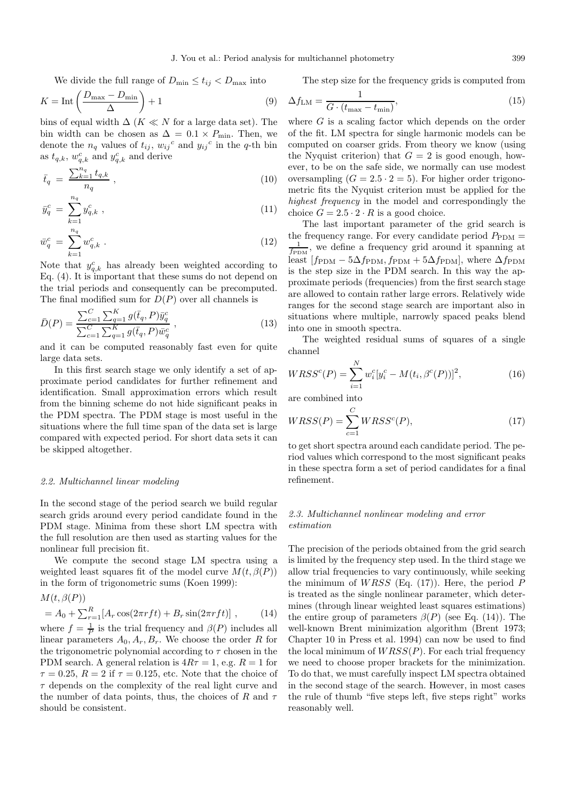We divide the full range of  $D_{\min} \leq t_{ij} < D_{\max}$  into

$$
K = \text{Int}\left(\frac{D_{\text{max}} - D_{\text{min}}}{\Delta}\right) + 1\tag{9}
$$

bins of equal width  $\Delta$  (K  $\ll N$  for a large data set). The bin width can be chosen as  $\Delta = 0.1 \times P_{\text{min}}$ . Then, we denote the  $n_q$  values of  $t_{ij}$ ,  $w_{ij}$ <sup>c</sup> and  $y_{ij}$ <sup>c</sup> in the q-th bin as  $t_{q,k}$ ,  $w_{q,k}^c$  and  $y_{q,k}^c$  and derive

$$
\bar{t}_q = \frac{\sum_{k=1}^{n_q} t_{q,k}}{n_q} \,, \tag{10}
$$

$$
\bar{y}_q^c = \sum_{k=1}^{n_q} y_{q,k}^c , \qquad (11)
$$

$$
\bar{w}_q^c = \sum_{k=1}^{n_q} w_{q,k}^c \tag{12}
$$

Note that  $y_{q,k}^c$  has already been weighted according to Eq. (4). It is important that these sums do not depend on the trial periods and consequently can be precomputed. The final modified sum for  $D(P)$  over all channels is

$$
\bar{D}(P) = \frac{\sum_{c=1}^{C} \sum_{q=1}^{K} g(\bar{t}_q, P) \bar{y}_q^c}{\sum_{c=1}^{C} \sum_{q=1}^{K} g(\bar{t}_q, P) \bar{w}_q^c},
$$
\n(13)

and it can be computed reasonably fast even for quite large data sets.

In this first search stage we only identify a set of approximate period candidates for further refinement and identification. Small approximation errors which result from the binning scheme do not hide significant peaks in the PDM spectra. The PDM stage is most useful in the situations where the full time span of the data set is large compared with expected period. For short data sets it can be skipped altogether.

# 2.2. Multichannel linear modeling

In the second stage of the period search we build regular search grids around every period candidate found in the PDM stage. Minima from these short LM spectra with the full resolution are then used as starting values for the nonlinear full precision fit.

We compute the second stage LM spectra using a weighted least squares fit of the model curve  $M(t, \beta(P))$ in the form of trigonometric sums (Koen 1999):

$$
M(t, \beta(P))
$$
  
=  $A_0 + \sum_{r=1}^{R} [A_r \cos(2\pi r f t) + B_r \sin(2\pi r f t)]$ , (14)  
where  $f = \frac{1}{P}$  is the trial frequency and  $\beta(P)$  includes all  
linear parameters  $A_0, A_r, B_r$ . We choose the order R for  
the trigonometric polynomial according to  $\tau$  chosen in the  
PDM search. A general relation is  $4R\tau = 1$ , e.g.  $R = 1$  for  
 $\tau = 0.25$ ,  $R = 2$  if  $\tau = 0.125$ , etc. Note that the choice of  
 $\tau$  depends on the complexity of the real light curve and  
the number of data points, thus, the choices of R and  $\tau$   
should be consistent.

The step size for the frequency grids is computed from

$$
\Delta f_{\rm LM} = \frac{1}{G \cdot (t_{\rm max} - t_{\rm min})},\tag{15}
$$

where  $G$  is a scaling factor which depends on the order of the fit. LM spectra for single harmonic models can be computed on coarser grids. From theory we know (using the Nyquist criterion) that  $G = 2$  is good enough, however, to be on the safe side, we normally can use modest oversampling  $(G = 2.5 \cdot 2 = 5)$ . For higher order trigonometric fits the Nyquist criterion must be applied for the highest frequency in the model and correspondingly the choice  $G = 2.5 \cdot 2 \cdot R$  is a good choice.

The last important parameter of the grid search is the frequency range. For every candidate period  $P_{\text{PDM}} =$  $\frac{1}{f_{\text{PDM}}}$ , we define a frequency grid around it spanning at least  $[f_{\rm PDM} - 5\Delta f_{\rm PDM}, f_{\rm PDM} + 5\Delta f_{\rm PDM}]$ , where  $\Delta f_{\rm PDM}$ is the step size in the PDM search. In this way the approximate periods (frequencies) from the first search stage are allowed to contain rather large errors. Relatively wide ranges for the second stage search are important also in situations where multiple, narrowly spaced peaks blend into one in smooth spectra.

The weighted residual sums of squares of a single channel

$$
WRSS^{c}(P) = \sum_{i=1}^{N} w_{i}^{c} [y_{i}^{c} - M(t_{i}, \beta^{c}(P))]^{2},
$$
\n(16)

are combined into

$$
WRSS(P) = \sum_{c=1}^{C} WRSS^c(P),
$$
\n(17)

to get short spectra around each candidate period. The period values which correspond to the most significant peaks in these spectra form a set of period candidates for a final refinement.

# 2.3. Multichannel nonlinear modeling and error estimation

The precision of the periods obtained from the grid search is limited by the frequency step used. In the third stage we allow trial frequencies to vary continuously, while seeking the minimum of  $WRSS$  (Eq. (17)). Here, the period  $P$ is treated as the single nonlinear parameter, which determines (through linear weighted least squares estimations) the entire group of parameters  $\beta(P)$  (see Eq. (14)). The well-known Brent minimization algorithm (Brent 1973; Chapter 10 in Press et al. 1994) can now be used to find the local minimum of  $WRSS(P)$ . For each trial frequency we need to choose proper brackets for the minimization. To do that, we must carefully inspect LM spectra obtained in the second stage of the search. However, in most cases the rule of thumb "five steps left, five steps right" works reasonably well.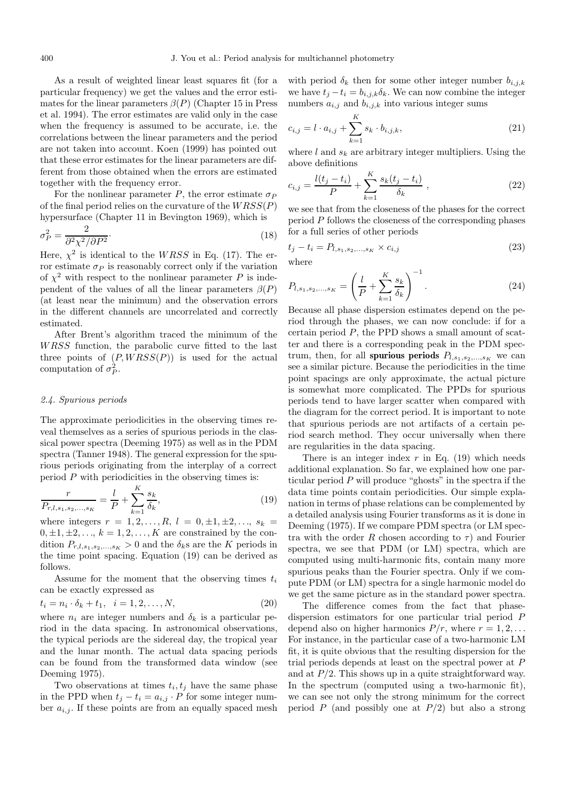As a result of weighted linear least squares fit (for a particular frequency) we get the values and the error estimates for the linear parameters  $\beta(P)$  (Chapter 15 in Press et al. 1994). The error estimates are valid only in the case when the frequency is assumed to be accurate, i.e. the correlations between the linear parameters and the period are not taken into account. Koen (1999) has pointed out that these error estimates for the linear parameters are different from those obtained when the errors are estimated together with the frequency error.

For the nonlinear parameter P, the error estimate  $\sigma_P$ of the final period relies on the curvature of the  $WRSS(P)$ hypersurface (Chapter 11 in Bevington 1969), which is

$$
\sigma_P^2 = \frac{2}{\partial^2 \chi^2 / \partial P^2}.
$$
\n(18)

Here,  $\chi^2$  is identical to the WRSS in Eq. (17). The error estimate  $\sigma_P$  is reasonably correct only if the variation of  $\chi^2$  with respect to the nonlinear parameter P is independent of the values of all the linear parameters  $\beta(P)$ (at least near the minimum) and the observation errors in the different channels are uncorrelated and correctly estimated.

After Brent's algorithm traced the minimum of the WRSS function, the parabolic curve fitted to the last three points of  $(P, WRSS(P))$  is used for the actual computation of  $\sigma_P^2$ .

#### 2.4. Spurious periods

The approximate periodicities in the observing times reveal themselves as a series of spurious periods in the classical power spectra (Deeming 1975) as well as in the PDM spectra (Tanner 1948). The general expression for the spurious periods originating from the interplay of a correct period  $P$  with periodicities in the observing times is:

$$
\frac{r}{P_{r,l,s_1,s_2,\dots,s_K}} = \frac{l}{P} + \sum_{k=1}^{K} \frac{s_k}{\delta_k},\tag{19}
$$

where integers  $r = 1, 2, ..., R$ ,  $l = 0, \pm 1, \pm 2, ..., s_k$  $0, \pm 1, \pm 2, \ldots, k = 1, 2, \ldots, K$  are constrained by the condition  $P_{r,l,s_1,s_2,...,s_K} > 0$  and the  $\delta_k$ s are the K periods in the time point spacing. Equation (19) can be derived as follows.

Assume for the moment that the observing times  $t_i$ can be exactly expressed as

$$
t_i = n_i \cdot \delta_k + t_1, \quad i = 1, 2, \dots, N,
$$
\n(20)

where  $n_i$  are integer numbers and  $\delta_k$  is a particular period in the data spacing. In astronomical observations, the typical periods are the sidereal day, the tropical year and the lunar month. The actual data spacing periods can be found from the transformed data window (see Deeming 1975).

Two observations at times  $t_i, t_j$  have the same phase in the PPD when  $t_j - t_i = a_{i,j} \cdot P$  for some integer number  $a_{i,j}$ . If these points are from an equally spaced mesh with period  $\delta_k$  then for some other integer number  $b_{i,j,k}$ we have  $t_i - t_i = b_{i,j,k} \delta_k$ . We can now combine the integer numbers  $a_{i,j}$  and  $b_{i,j,k}$  into various integer sums

$$
c_{i,j} = l \cdot a_{i,j} + \sum_{k=1}^{K} s_k \cdot b_{i,j,k},
$$
\n(21)

where  $l$  and  $s_k$  are arbitrary integer multipliers. Using the above definitions

$$
c_{i,j} = \frac{l(t_j - t_i)}{P} + \sum_{k=1}^{K} \frac{s_k(t_j - t_i)}{\delta_k} ,
$$
 (22)

we see that from the closeness of the phases for the correct period  $P$  follows the closeness of the corresponding phases for a full series of other periods

$$
t_j - t_i = P_{l,s_1,s_2,\ldots,s_K} \times c_{i,j}
$$
\n(23)

\nwhere

 $\sqrt{ }$ K

$$
P_{l,s_1,s_2,...,s_K} = \left(\frac{l}{P} + \sum_{k=1}^{N} \frac{s_k}{\delta_k}\right) \quad . \tag{24}
$$

 $\sqrt{-1}$ 

Because all phase dispersion estimates depend on the period through the phases, we can now conclude: if for a certain period  $P$ , the PPD shows a small amount of scatter and there is a corresponding peak in the PDM spectrum, then, for all **spurious periods**  $P_{l,s_1,s_2,...,s_K}$  we can see a similar picture. Because the periodicities in the time point spacings are only approximate, the actual picture is somewhat more complicated. The PPDs for spurious periods tend to have larger scatter when compared with the diagram for the correct period. It is important to note that spurious periods are not artifacts of a certain period search method. They occur universally when there are regularities in the data spacing.

There is an integer index  $r$  in Eq. (19) which needs additional explanation. So far, we explained how one particular period  $P$  will produce "ghosts" in the spectra if the data time points contain periodicities. Our simple explanation in terms of phase relations can be complemented by a detailed analysis using Fourier transforms as it is done in Deeming (1975). If we compare PDM spectra (or LM spectra with the order R chosen according to  $\tau$ ) and Fourier spectra, we see that PDM (or LM) spectra, which are computed using multi-harmonic fits, contain many more spurious peaks than the Fourier spectra. Only if we compute PDM (or LM) spectra for a single harmonic model do we get the same picture as in the standard power spectra.

The difference comes from the fact that phasedispersion estimators for one particular trial period P depend also on higher harmonics  $P/r$ , where  $r = 1, 2, \ldots$ For instance, in the particular case of a two-harmonic LM fit, it is quite obvious that the resulting dispersion for the trial periods depends at least on the spectral power at P and at  $P/2$ . This shows up in a quite straightforward way. In the spectrum (computed using a two-harmonic fit), we can see not only the strong minimum for the correct period  $P$  (and possibly one at  $P/2$ ) but also a strong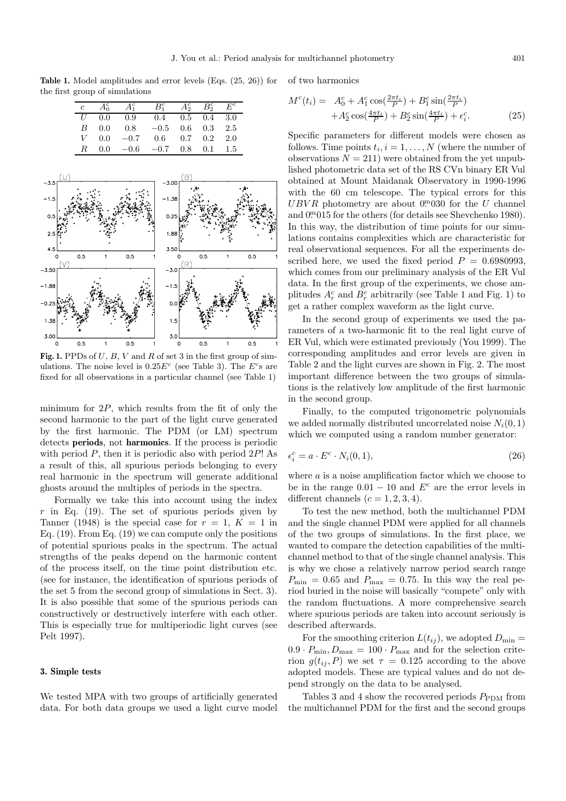Table 1. Model amplitudes and error levels (Eqs.  $(25, 26)$ ) for of two harmonics the first group of simulations

| $\overline{c}$ | $A_0^c$ | $A_1^c$    | $B_1^c$      | $A_2^c$ $B_2^c$ |                   | $E^c$ |
|----------------|---------|------------|--------------|-----------------|-------------------|-------|
| U              | 0.0     | 0.9        | $0.4\degree$ | $0.5 \quad 0.4$ |                   | 3.0   |
| B              | 0.0     | 0.8        | $-0.5$       |                 | $0.6$ $0.3$ $2.5$ |       |
| V              | 0.0     | $-0.7$ 0.6 |              |                 | $0.7 \quad 0.2$   | 2.0   |
| $_{R}$         | 0.0     | $-0.6$     | $-0.7$ 0.8   |                 | 0.1               | 1.5   |
|                |         |            |              |                 |                   |       |
|                |         |            |              |                 |                   |       |



**Fig. 1.** PPDs of  $U$ ,  $B$ ,  $V$  and  $R$  of set 3 in the first group of simulations. The noise level is  $0.25E^c$  (see Table 3). The  $E^c$ s are fixed for all observations in a particular channel (see Table 1)

minimum for  $2P$ , which results from the fit of only the second harmonic to the part of the light curve generated by the first harmonic. The PDM (or LM) spectrum detects **periods**, not **harmonics**. If the process is periodic with period  $P$ , then it is periodic also with period  $2P!$ . a result of this, all spurious periods belonging to every real harmonic in the spectrum will generate additional ghosts around the multiples of periods in the spectra.

Formally we take this into account using the index r in Eq. (19). The set of spurious periods given by Tanner (1948) is the special case for  $r = 1$ ,  $K = 1$  in Eq. (19). From Eq. (19) we can compute only the positions of potential spurious peaks in the spectrum. The actual strengths of the peaks depend on the harmonic content of the process itself, on the time point distribution etc. (see for instance, the identification of spurious periods of the set 5 from the second group of simulations in Sect. 3). It is also possible that some of the spurious periods can constructively or destructively interfere with each other. This is especially true for multiperiodic light curves (see Pelt 1997).

# **3. Simple tests**

We tested MPA with two groups of artificially generated data. For both data groups we used a light curve model

$$
M^{c}(t_{i}) = A_{0}^{c} + A_{1}^{c} \cos(\frac{2\pi t_{i}}{P}) + B_{1}^{c} \sin(\frac{2\pi t_{i}}{P}) + A_{2}^{c} \cos(\frac{4\pi t_{i}}{P}) + B_{2}^{c} \sin(\frac{4\pi t_{i}}{P}) + \epsilon_{i}^{c}.
$$
 (25)

Specific parameters for different models were chosen as follows. Time points  $t_i, i = 1, \ldots, N$  (where the number of observations  $N = 211$ ) were obtained from the yet unpublished photometric data set of the RS CVn binary ER Vul obtained at Mount Maidanak Observatory in 1990-1996 with the 60 cm telescope. The typical errors for this  $UBVR$  photometry are about  $0<sup>m</sup>030$  for the U channel and 0<sup>m</sup>015 for the others (for details see Shevchenko 1980). In this way, the distribution of time points for our simulations contains complexities which are characteristic for real observational sequences. For all the experiments described here, we used the fixed period  $P = 0.6980993$ , which comes from our preliminary analysis of the ER Vul data. In the first group of the experiments, we chose amplitudes  $A_r^c$  and  $B_r^c$  arbitrarily (see Table 1 and Fig. 1) to get a rather complex waveform as the light curve.

In the second group of experiments we used the parameters of a two-harmonic fit to the real light curve of ER Vul, which were estimated previously (You 1999). The corresponding amplitudes and error levels are given in Table 2 and the light curves are shown in Fig. 2. The most important difference between the two groups of simulations is the relatively low amplitude of the first harmonic in the second group.

Finally, to the computed trigonometric polynomials we added normally distributed uncorrelated noise  $N_i(0,1)$ which we computed using a random number generator:

$$
\epsilon_i^c = a \cdot E^c \cdot N_i(0, 1),\tag{26}
$$

where *a* is a noise amplification factor which we choose to be in the range  $0.01 - 10$  and  $E<sup>c</sup>$  are the error levels in different channels  $(c = 1, 2, 3, 4)$ .

To test the new method, both the multichannel PDM and the single channel PDM were applied for all channels of the two groups of simulations. In the first place, we wanted to compare the detection capabilities of the multichannel method to that of the single channel analysis. This is why we chose a relatively narrow period search range  $P_{\min} = 0.65$  and  $P_{\max} = 0.75$ . In this way the real period buried in the noise will basically "compete" only with the random fluctuations. A more comprehensive search where spurious periods are taken into account seriously is described afterwards.

For the smoothing criterion  $L(t_{ij})$ , we adopted  $D_{\min} =$  $0.9 \cdot P_{\text{min}}$ ,  $D_{\text{max}} = 100 \cdot P_{\text{max}}$  and for the selection criterion  $g(t_{ii}, P)$  we set  $\tau = 0.125$  according to the above adopted models. These are typical values and do not depend strongly on the data to be analysed.

Tables 3 and 4 show the recovered periods  $P_{\text{PDM}}$  from the multichannel PDM for the first and the second groups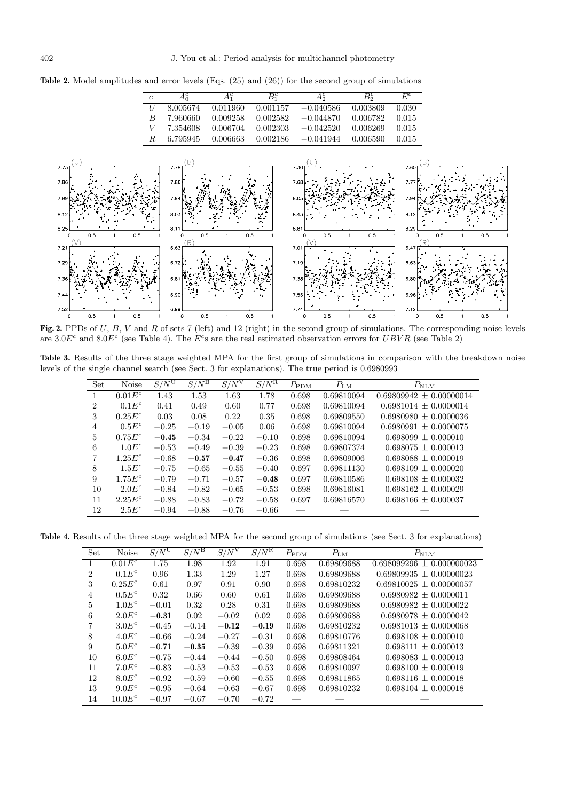**Table 2.** Model amplitudes and error levels (Eqs. (25) and (26)) for the second group of simulations

| $\mathfrak c$    | $A_0^c$  | $A_1^c$  | $B_1^c$  | Аŝ          | $B_2^c$  | $E^c$ |
|------------------|----------|----------|----------|-------------|----------|-------|
| $\overline{I}$   | 8.005674 | 0.011960 | 0.001157 | $-0.040586$ | 0.003809 | 0.030 |
| $\boldsymbol{B}$ | 7.960660 | 0.009258 | 0.002582 | $-0.044870$ | 0.006782 | 0.015 |
|                  | 7.354608 | 0.006704 | 0.002303 | $-0.042520$ | 0.006269 | 0.015 |
| R                | 6.795945 | 0.006663 | 0.002186 | $-0.041944$ | 0.006590 | 0.015 |
|                  |          |          |          |             |          |       |



Fig. 2. PPDs of U, B, V and R of sets 7 (left) and 12 (right) in the second group of simulations. The corresponding noise levels are  $3.0E^c$  and  $8.0E^c$  (see Table 4). The  $E^c$ s are the real estimated observation errors for  $UBVR$  (see Table 2)

**Table 3.** Results of the three stage weighted MPA for the first group of simulations in comparison with the breakdown noise levels of the single channel search (see Sect. 3 for explanations). The true period is 0.6980993

| Set            | <b>Noise</b> | $S/N^{\mathrm{U}}$ | $S/N^{\rm B}$ | $S/N^V$ | $S/N^{\rm R}$ | $P_{\rm PDM}$ | $P_{\rm LM}$ | $P_{\rm NLM}$               |
|----------------|--------------|--------------------|---------------|---------|---------------|---------------|--------------|-----------------------------|
|                | $0.01E^c$    | 1.43               | 1.53          | 1.63    | 1.78          | 0.698         | 0.69810094   | $0.69809942 \pm 0.00000014$ |
| $\overline{2}$ | $0.1E^c$     | 0.41               | 0.49          | 0.60    | 0.77          | 0.698         | 0.69810094   | $0.6981014 + 0.0000014$     |
| 3              | $0.25E^c$    | 0.03               | 0.08          | 0.22    | 0.35          | 0.698         | 0.69809550   | $0.6980980 + 0.0000036$     |
| 4              | $0.5E^c$     | $-0.25$            | $-0.19$       | $-0.05$ | 0.06          | 0.698         | 0.69810094   | $0.6980991 \pm 0.0000075$   |
| 5              | $0.75E^c$    | $-0.45$            | $-0.34$       | $-0.22$ | $-0.10$       | 0.698         | 0.69810094   | $0.698099 + 0.000010$       |
| 6              | $1.0E^c$     | $-0.53$            | $-0.49$       | $-0.39$ | $-0.23$       | 0.698         | 0.69807374   | $0.698075 + 0.000013$       |
| 7              | $1.25E^c$    | $-0.68$            | $-0.57$       | $-0.47$ | $-0.36$       | 0.698         | 0.69809006   | $0.698088 + 0.000019$       |
| 8              | $1.5E^c$     | $-0.75$            | $-0.65$       | $-0.55$ | $-0.40$       | 0.697         | 0.69811130   | $0.698109 + 0.000020$       |
| 9              | $1.75E^c$    | $-0.79$            | $-0.71$       | $-0.57$ | $-0.48$       | 0.697         | 0.69810586   | $0.698108 + 0.000032$       |
| 10             | $2.0E^c$     | $-0.84$            | $-0.82$       | $-0.65$ | $-0.53$       | 0.698         | 0.69816081   | $0.698162 + 0.000029$       |
| 11             | $2.25E^c$    | $-0.88$            | $-0.83$       | $-0.72$ | $-0.58$       | 0.697         | 0.69816570   | $0.698166 + 0.000037$       |
| 12             | $2.5E^c$     | $-0.94$            | $-0.88$       | $-0.76$ | $-0.66$       |               |              |                             |

**Table 4.** Results of the three stage weighted MPA for the second group of simulations (see Sect. 3 for explanations)

| Set            | <b>Noise</b>      | $S/N^{\mathrm{U}}$ | $S/N^{\rm B}$ | $S/N^V$ | $S/N^{\rm R}$ | $P_{\rm PDM}$ | $P_{LM}$   | $P_{\rm NLM}$                 |
|----------------|-------------------|--------------------|---------------|---------|---------------|---------------|------------|-------------------------------|
|                | $0.01E^c$         | 1.75               | 1.98          | 1.92    | 1.91          | 0.698         | 0.69809688 | $0.698099296 \pm 0.000000023$ |
| $\overline{2}$ | $0.1E^c$          | 0.96               | 1.33          | 1.29    | 1.27          | 0.698         | 0.69809688 | $0.69809935 + 0.00000023$     |
| 3              | $0.25E^c$         | 0.61               | 0.97          | 0.91    | 0.90          | 0.698         | 0.69810232 | $0.69810025 \pm 0.00000057$   |
| 4              | $0.5E^c$          | 0.32               | 0.66          | 0.60    | 0.61          | 0.698         | 0.69809688 | $0.6980982 \pm 0.0000011$     |
| $\overline{5}$ | $1.0E^c$          | $-0.01$            | 0.32          | 0.28    | 0.31          | 0.698         | 0.69809688 | $0.6980982 \pm 0.0000022$     |
| 6              | $2.0E^c$          | $-0.31$            | 0.02          | $-0.02$ | 0.02          | 0.698         | 0.69809688 | $0.6980978 \pm 0.0000042$     |
| 7              | $3.0E^c$          | $-0.45$            | $-0.14$       | $-0.12$ | $-0.19$       | 0.698         | 0.69810232 | $0.6981013 \pm 0.0000068$     |
| 8              | $4.0E^c$          | $-0.66$            | $-0.24$       | $-0.27$ | $-0.31$       | 0.698         | 0.69810776 | $0.698108 \pm 0.000010$       |
| 9              | $5.0E^c$          | $-0.71$            | $-0.35$       | $-0.39$ | $-0.39$       | 0.698         | 0.69811321 | $0.698111 \pm 0.000013$       |
| 10             | $6.0E^c$          | $-0.75$            | $-0.44$       | $-0.44$ | $-0.50$       | 0.698         | 0.69808464 | $0.698083 + 0.000013$         |
| 11             | 7.0E <sup>c</sup> | $-0.83$            | $-0.53$       | $-0.53$ | $-0.53$       | 0.698         | 0.69810097 | $0.698100 \pm 0.000019$       |
| 12             | $8.0E^c$          | $-0.92$            | $-0.59$       | $-0.60$ | $-0.55$       | 0.698         | 0.69811865 | $0.698116 \pm 0.000018$       |
| 13             | $9.0E^c$          | $-0.95$            | $-0.64$       | $-0.63$ | $-0.67$       | 0.698         | 0.69810232 | $0.698104 \pm 0.000018$       |
| 14             | $10.0E^c$         | $-0.97$            | $-0.67$       | $-0.70$ | $-0.72$       |               |            |                               |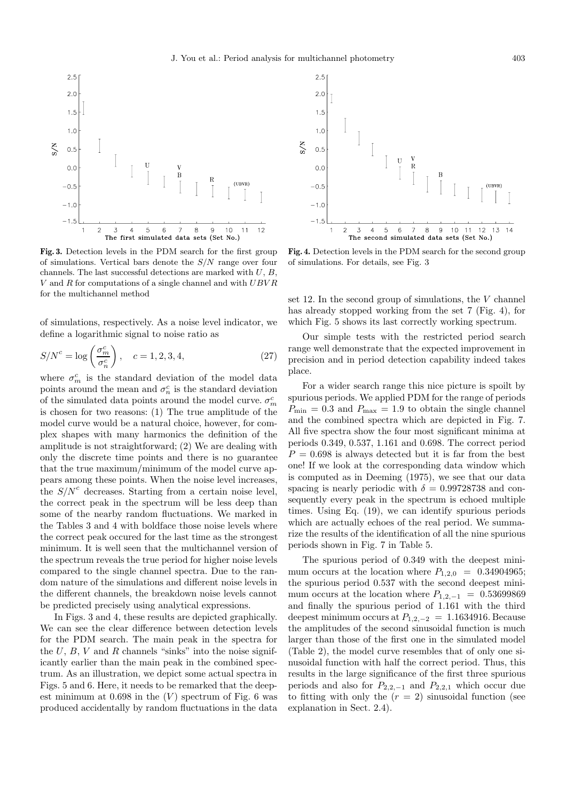

**Fig. 3.** Detection levels in the PDM search for the first group of simulations. Vertical bars denote the  $S/N$  range over four channels. The last successful detections are marked with  $U, B$ ,  $V$  and  $R$  for computations of a single channel and with  $UBVR$ for the multichannel method

of simulations, respectively. As a noise level indicator, we define a logarithmic signal to noise ratio as

$$
S/N^{c} = \log\left(\frac{\sigma_m^{c}}{\sigma_n^{c}}\right), \quad c = 1, 2, 3, 4,
$$
\n
$$
(27)
$$

where  $\sigma_m^c$  is the standard deviation of the model data points around the mean and  $\sigma_n^c$  is the standard deviation of the simulated data points around the model curve.  $\sigma_m^c$ is chosen for two reasons: (1) The true amplitude of the model curve would be a natural choice, however, for complex shapes with many harmonics the definition of the amplitude is not straightforward; (2) We are dealing with only the discrete time points and there is no guarantee that the true maximum/minimum of the model curve appears among these points. When the noise level increases, the  $S/N^c$  decreases. Starting from a certain noise level, the correct peak in the spectrum will be less deep than some of the nearby random fluctuations. We marked in the Tables 3 and 4 with boldface those noise levels where the correct peak occured for the last time as the strongest minimum. It is well seen that the multichannel version of the spectrum reveals the true period for higher noise levels compared to the single channel spectra. Due to the random nature of the simulations and different noise levels in the different channels, the breakdown noise levels cannot be predicted precisely using analytical expressions.

In Figs. 3 and 4, these results are depicted graphically. We can see the clear difference between detection levels for the PDM search. The main peak in the spectra for the  $U, B, V$  and  $R$  channels "sinks" into the noise significantly earlier than the main peak in the combined spectrum. As an illustration, we depict some actual spectra in Figs. 5 and 6. Here, it needs to be remarked that the deepest minimum at  $0.698$  in the  $(V)$  spectrum of Fig. 6 was produced accidentally by random fluctuations in the data



**Fig. 4.** Detection levels in the PDM search for the second group of simulations. For details, see Fig. 3

set 12. In the second group of simulations, the  $V$  channel has already stopped working from the set 7 (Fig. 4), for which Fig. 5 shows its last correctly working spectrum.

Our simple tests with the restricted period search range well demonstrate that the expected improvement in precision and in period detection capability indeed takes place.

For a wider search range this nice picture is spoilt by spurious periods. We applied PDM for the range of periods  $P_{\min} = 0.3$  and  $P_{\max} = 1.9$  to obtain the single channel and the combined spectra which are depicted in Fig. 7. All five spectra show the four most significant minima at periods 0.349, 0.537, 1.161 and 0.698. The correct period  $P = 0.698$  is always detected but it is far from the best one! If we look at the corresponding data window which is computed as in Deeming (1975), we see that our data spacing is nearly periodic with  $\delta = 0.99728738$  and consequently every peak in the spectrum is echoed multiple times. Using Eq. (19), we can identify spurious periods which are actually echoes of the real period. We summarize the results of the identification of all the nine spurious periods shown in Fig. 7 in Table 5.

The spurious period of 0.349 with the deepest minimum occurs at the location where  $P_{1,2,0} = 0.34904965$ ; the spurious period 0.537 with the second deepest minimum occurs at the location where  $P_{1,2,-1} = 0.53699869$ and finally the spurious period of 1.161 with the third deepest minimum occurs at  $P_{1,2,-2} = 1.1634916$ . Because the amplitudes of the second sinusoidal function is much larger than those of the first one in the simulated model (Table 2), the model curve resembles that of only one sinusoidal function with half the correct period. Thus, this results in the large significance of the first three spurious periods and also for  $P_{2,2,-1}$  and  $P_{2,2,1}$  which occur due to fitting with only the  $(r = 2)$  sinusoidal function (see explanation in Sect. 2.4).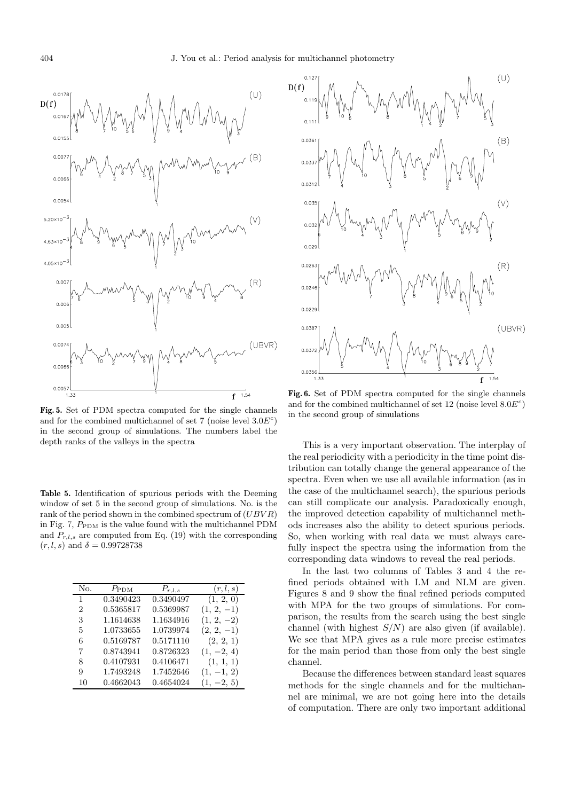

**Fig. 5.** Set of PDM spectra computed for the single channels and for the combined multichannel of set 7 (noise level  $3.0E<sup>c</sup>$ ) in the second group of simulations. The numbers label the depth ranks of the valleys in the spectra

**Table 5.** Identification of spurious periods with the Deeming window of set 5 in the second group of simulations. No. is the rank of the period shown in the combined spectrum of  $(UBVR)$ in Fig. 7,  $P_{\text{PDM}}$  is the value found with the multichannel PDM and  $P_{r,l,s}$  are computed from Eq. (19) with the corresponding  $(r, l, s)$  and  $\delta = 0.99728738$ 

| No. | $P_{\rm PDM}$ | $P_{r,l,s}$ | (r, l, s)    |
|-----|---------------|-------------|--------------|
| 1   | 0.3490423     | 0.3490497   | (1, 2, 0)    |
| 2   | 0.5365817     | 0.5369987   | $(1, 2, -1)$ |
| 3   | 1.1614638     | 1.1634916   | $(1, 2, -2)$ |
| 5   | 1.0733655     | 1.0739974   | $(2, 2, -1)$ |
| 6   | 0.5169787     | 0.5171110   | (2, 2, 1)    |
| 7   | 0.8743941     | 0.8726323   | $(1, -2, 4)$ |
| 8   | 0.4107931     | 0.4106471   | (1, 1, 1)    |
| 9   | 1.7493248     | 1.7452646   | $(1, -1, 2)$ |
| 10  | 0.4662043     | 0.4654024   | $(1, -2, 5)$ |



**Fig. 6.** Set of PDM spectra computed for the single channels and for the combined multichannel of set 12 (noise level  $8.0E<sup>c</sup>$ ) in the second group of simulations

This is a very important observation. The interplay of the real periodicity with a periodicity in the time point distribution can totally change the general appearance of the spectra. Even when we use all available information (as in the case of the multichannel search), the spurious periods can still complicate our analysis. Paradoxically enough, the improved detection capability of multichannel methods increases also the ability to detect spurious periods. So, when working with real data we must always carefully inspect the spectra using the information from the corresponding data windows to reveal the real periods.

In the last two columns of Tables 3 and 4 the refined periods obtained with LM and NLM are given. Figures 8 and 9 show the final refined periods computed with MPA for the two groups of simulations. For comparison, the results from the search using the best single channel (with highest  $S/N$ ) are also given (if available). We see that MPA gives as a rule more precise estimates for the main period than those from only the best single channel.

Because the differences between standard least squares methods for the single channels and for the multichannel are minimal, we are not going here into the details of computation. There are only two important additional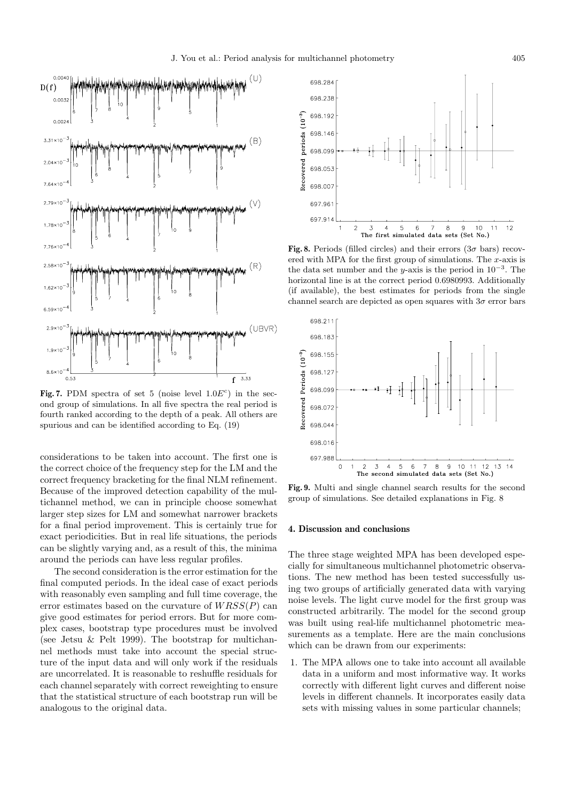

**Fig. 7.** PDM spectra of set 5 (noise level  $1.0E<sup>c</sup>$ ) in the second group of simulations. In all five spectra the real period is fourth ranked according to the depth of a peak. All others are spurious and can be identified according to Eq. (19)

considerations to be taken into account. The first one is the correct choice of the frequency step for the LM and the correct frequency bracketing for the final NLM refinement. Because of the improved detection capability of the multichannel method, we can in principle choose somewhat larger step sizes for LM and somewhat narrower brackets for a final period improvement. This is certainly true for exact periodicities. But in real life situations, the periods can be slightly varying and, as a result of this, the minima around the periods can have less regular profiles.

The second consideration is the error estimation for the final computed periods. In the ideal case of exact periods with reasonably even sampling and full time coverage, the error estimates based on the curvature of  $WRSS(P)$  can give good estimates for period errors. But for more complex cases, bootstrap type procedures must be involved (see Jetsu & Pelt 1999). The bootstrap for multichannel methods must take into account the special structure of the input data and will only work if the residuals are uncorrelated. It is reasonable to reshuffle residuals for each channel separately with correct reweighting to ensure that the statistical structure of each bootstrap run will be analogous to the original data.



**Fig. 8.** Periods (filled circles) and their errors ( $3\sigma$  bars) recovered with MPA for the first group of simulations. The  $x$ -axis is the data set number and the y-axis is the period in  $10^{-3}$ . The horizontal line is at the correct period 0.6980993. Additionally (if available), the best estimates for periods from the single channel search are depicted as open squares with  $3\sigma$  error bars



**Fig. 9.** Multi and single channel search results for the second group of simulations. See detailed explanations in Fig. 8

#### **4. Discussion and conclusions**

The three stage weighted MPA has been developed especially for simultaneous multichannel photometric observations. The new method has been tested successfully using two groups of artificially generated data with varying noise levels. The light curve model for the first group was constructed arbitrarily. The model for the second group was built using real-life multichannel photometric measurements as a template. Here are the main conclusions which can be drawn from our experiments:

1. The MPA allows one to take into account all available data in a uniform and most informative way. It works correctly with different light curves and different noise levels in different channels. It incorporates easily data sets with missing values in some particular channels;